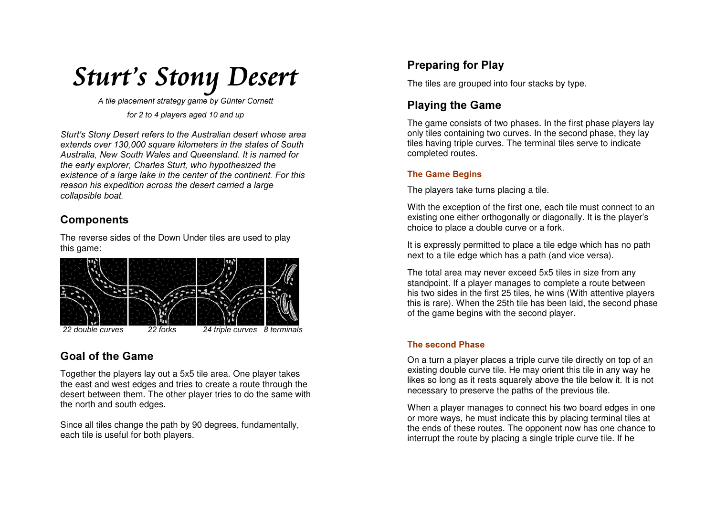

A tile placement strategy game by Günter Cornett for 2 to 4 players aged 10 and up

Sturt's Stony Desert refers to the Australian desert whose area extends over 130,000 square kilometers in the states of South Australia. New South Wales and Queensland. It is named for the early explorer, Charles Sturt, who hypothesized the existence of a large lake in the center of the continent. For this reason his expedition across the desert carried a large collapsible boat.

## **Components**

The reverse sides of the Down Under tiles are used to play this game:



## **Goal of the Game**

Together the players lay out a 5x5 tile area. One player takes the east and west edges and tries to create a route through the desert between them. The other player tries to do the same with the north and south edges.

Since all tiles change the path by 90 degrees, fundamentally, each tile is useful for both players.

# **Preparing for Play**

The tiles are grouped into four stacks by type.

## **Playing the Game**

The game consists of two phases. In the first phase players lay only tiles containing two curves. In the second phase, they lay tiles having triple curves. The terminal tiles serve to indicate completed routes.

### **The Game Begins**

The players take turns placing a tile.

With the exception of the first one, each tile must connect to an existing one either orthogonally or diagonally. It is the player's choice to place a double curve or a fork.

It is expressly permitted to place a tile edge which has no path next to a tile edge which has a path (and vice versa).

The total area may never exceed 5x5 tiles in size from any standpoint. If a player manages to complete a route between his two sides in the first 25 tiles, he wins (With attentive players this is rare). When the 25th tile has been laid, the second phase of the game begins with the second player.

### **The second Phase**

On a turn a player places a triple curve tile directly on top of an existing double curve tile. He may orient this tile in any way he likes so long as it rests squarely above the tile below it. It is not necessary to preserve the paths of the previous tile.

When a player manages to connect his two board edges in one or more ways, he must indicate this by placing terminal tiles at the ends of these routes. The opponent now has one chance to interrupt the route by placing a single triple curve tile. If he